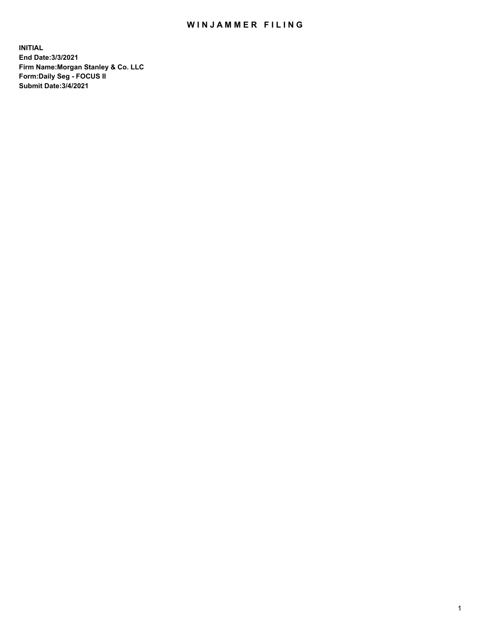## WIN JAMMER FILING

**INITIAL End Date:3/3/2021 Firm Name:Morgan Stanley & Co. LLC Form:Daily Seg - FOCUS II Submit Date:3/4/2021**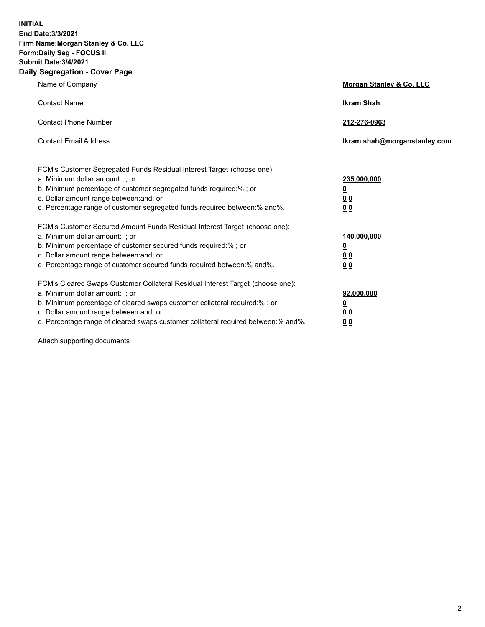**INITIAL End Date:3/3/2021 Firm Name:Morgan Stanley & Co. LLC Form:Daily Seg - FOCUS II Submit Date:3/4/2021 Daily Segregation - Cover Page**

| Name of Company                                                                                                                                                                                                                                                                                                                | Morgan Stanley & Co. LLC                                   |
|--------------------------------------------------------------------------------------------------------------------------------------------------------------------------------------------------------------------------------------------------------------------------------------------------------------------------------|------------------------------------------------------------|
| <b>Contact Name</b>                                                                                                                                                                                                                                                                                                            | <b>Ikram Shah</b>                                          |
| <b>Contact Phone Number</b>                                                                                                                                                                                                                                                                                                    | 212-276-0963                                               |
| <b>Contact Email Address</b>                                                                                                                                                                                                                                                                                                   | lkram.shah@morganstanley.com                               |
| FCM's Customer Segregated Funds Residual Interest Target (choose one):<br>a. Minimum dollar amount: ; or<br>b. Minimum percentage of customer segregated funds required:% ; or<br>c. Dollar amount range between: and; or<br>d. Percentage range of customer segregated funds required between:% and%.                         | 235,000,000<br><u>0</u><br><u>00</u><br>0 <sup>0</sup>     |
| FCM's Customer Secured Amount Funds Residual Interest Target (choose one):<br>a. Minimum dollar amount: ; or<br>b. Minimum percentage of customer secured funds required:%; or<br>c. Dollar amount range between: and; or<br>d. Percentage range of customer secured funds required between:% and%.                            | 140,000,000<br><u>0</u><br><u>0 0</u><br>0 Q               |
| FCM's Cleared Swaps Customer Collateral Residual Interest Target (choose one):<br>a. Minimum dollar amount: ; or<br>b. Minimum percentage of cleared swaps customer collateral required:% ; or<br>c. Dollar amount range between: and; or<br>d. Percentage range of cleared swaps customer collateral required between:% and%. | 92,000,000<br><u>0</u><br>0 <sup>0</sup><br>0 <sub>0</sub> |

Attach supporting documents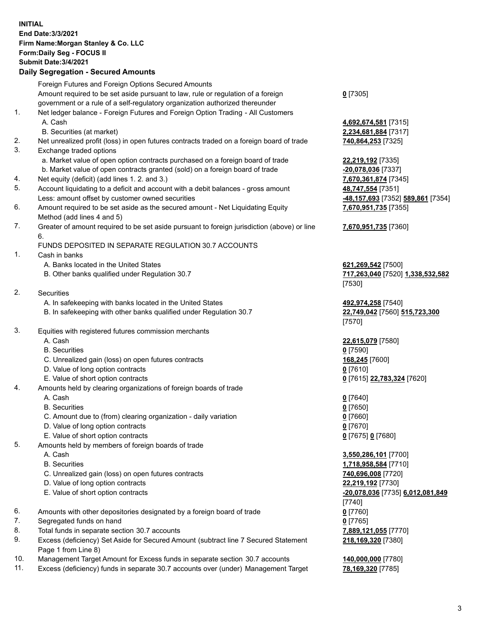## **INITIAL End Date:3/3/2021 Firm Name:Morgan Stanley & Co. LLC Form:Daily Seg - FOCUS II Submit Date:3/4/2021 Daily Segregation - Secured Amounts** Foreign Futures and Foreign Options Secured Amounts Amount required to be set aside pursuant to law, rule or regulation of a foreign

government or a rule of a self-regulatory organization authorized thereunder 1. Net ledger balance - Foreign Futures and Foreign Option Trading - All Customers A. Cash **4,692,674,581** [7315] B. Securities (at market) **2,234,681,884** [7317] 2. Net unrealized profit (loss) in open futures contracts traded on a foreign board of trade **740,864,253** [7325] 3. Exchange traded options a. Market value of open option contracts purchased on a foreign board of trade **22,219,192** [7335] b. Market value of open contracts granted (sold) on a foreign board of trade **-20,078,036** [7337] 4. Net equity (deficit) (add lines 1. 2. and 3.) **7,670,361,874** [7345] 5. Account liquidating to a deficit and account with a debit balances - gross amount **48,747,554** [7351] Less: amount offset by customer owned securities **-48,157,693** [7352] **589,861** [7354] 6. Amount required to be set aside as the secured amount - Net Liquidating Equity Method (add lines 4 and 5) 7. Greater of amount required to be set aside pursuant to foreign jurisdiction (above) or line 6. FUNDS DEPOSITED IN SEPARATE REGULATION 30.7 ACCOUNTS 1. Cash in banks A. Banks located in the United States **621,269,542** [7500] B. Other banks qualified under Regulation 30.7 **717,263,040** [7520] **1,338,532,582** 2. Securities A. In safekeeping with banks located in the United States **492,974,258** [7540] B. In safekeeping with other banks qualified under Regulation 30.7 **22,749,042** [7560] **515,723,300** 3. Equities with registered futures commission merchants A. Cash **22,615,079** [7580] B. Securities **0** [7590] C. Unrealized gain (loss) on open futures contracts **168,245** [7600] D. Value of long option contracts **0** [7610] E. Value of short option contracts **0** [7615] **22,783,324** [7620] 4. Amounts held by clearing organizations of foreign boards of trade A. Cash **0** [7640] B. Securities **0** [7650] C. Amount due to (from) clearing organization - daily variation **0** [7660] D. Value of long option contracts **0** [7670] E. Value of short option contracts **0** [7675] **0** [7680] 5. Amounts held by members of foreign boards of trade A. Cash **3,550,286,101** [7700] B. Securities **1,718,958,584** [7710] C. Unrealized gain (loss) on open futures contracts **740,696,008** [7720] D. Value of long option contracts **22,219,192** [7730] E. Value of short option contracts **-20,078,036** [7735] **6,012,081,849** 6. Amounts with other depositories designated by a foreign board of trade **0** [7760] 7. Segregated funds on hand **0** [7765] 8. Total funds in separate section 30.7 accounts **7,889,121,055** [7770] 9. Excess (deficiency) Set Aside for Secured Amount (subtract line 7 Secured Statement Page 1 from Line 8)

- 10. Management Target Amount for Excess funds in separate section 30.7 accounts **140,000,000** [7780]
- 11. Excess (deficiency) funds in separate 30.7 accounts over (under) Management Target **78,169,320** [7785]

**0** [7305]

**7,670,951,735** [7355] **7,670,951,735** [7360]

[7530]

[7570]

[7740] **218,169,320** [7380]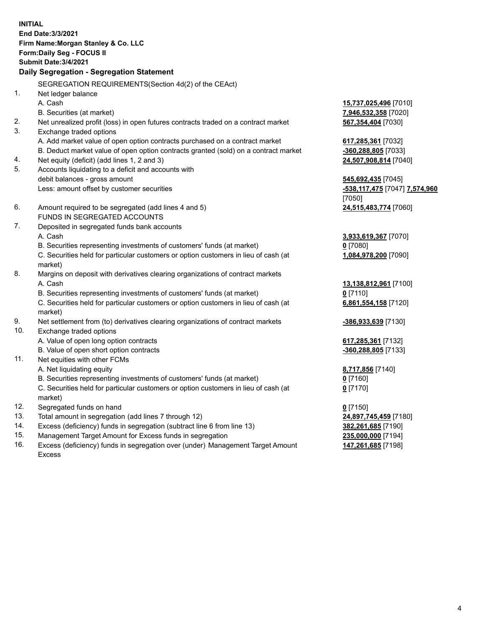**INITIAL End Date:3/3/2021 Firm Name:Morgan Stanley & Co. LLC Form:Daily Seg - FOCUS II Submit Date:3/4/2021 Daily Segregation - Segregation Statement** SEGREGATION REQUIREMENTS(Section 4d(2) of the CEAct) 1. Net ledger balance A. Cash **15,737,025,496** [7010] B. Securities (at market) **7,946,532,358** [7020] 2. Net unrealized profit (loss) in open futures contracts traded on a contract market **567,354,404** [7030] 3. Exchange traded options A. Add market value of open option contracts purchased on a contract market **617,285,361** [7032] B. Deduct market value of open option contracts granted (sold) on a contract market **-360,288,805** [7033] 4. Net equity (deficit) (add lines 1, 2 and 3) **24,507,908,814** [7040] 5. Accounts liquidating to a deficit and accounts with debit balances - gross amount **545,692,435** [7045] Less: amount offset by customer securities **-538,117,475** [7047] **7,574,960** [7050] 6. Amount required to be segregated (add lines 4 and 5) **24,515,483,774** [7060] FUNDS IN SEGREGATED ACCOUNTS 7. Deposited in segregated funds bank accounts A. Cash **3,933,619,367** [7070] B. Securities representing investments of customers' funds (at market) **0** [7080] C. Securities held for particular customers or option customers in lieu of cash (at market) **1,084,978,200** [7090] 8. Margins on deposit with derivatives clearing organizations of contract markets A. Cash **13,138,812,961** [7100] B. Securities representing investments of customers' funds (at market) **0** [7110] C. Securities held for particular customers or option customers in lieu of cash (at market) **6,861,554,158** [7120] 9. Net settlement from (to) derivatives clearing organizations of contract markets **-386,933,639** [7130] 10. Exchange traded options A. Value of open long option contracts **617,285,361** [7132] B. Value of open short option contracts **-360,288,805** [7133] 11. Net equities with other FCMs A. Net liquidating equity **8,717,856** [7140] B. Securities representing investments of customers' funds (at market) **0** [7160] C. Securities held for particular customers or option customers in lieu of cash (at market) **0** [7170] 12. Segregated funds on hand **0** [7150] 13. Total amount in segregation (add lines 7 through 12) **24,897,745,459** [7180] 14. Excess (deficiency) funds in segregation (subtract line 6 from line 13) **382,261,685** [7190] 15. Management Target Amount for Excess funds in segregation **235,000,000** [7194]

16. Excess (deficiency) funds in segregation over (under) Management Target Amount Excess

**147,261,685** [7198]